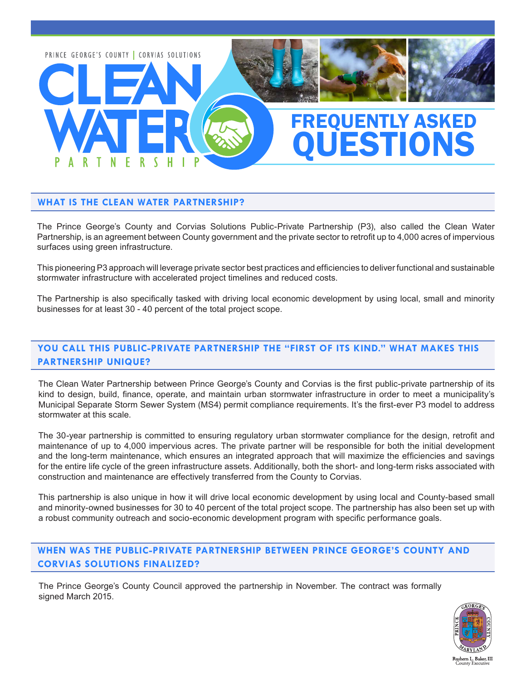

#### **WHAT IS THE CLEAN WATER PARTNERSHIP?**

The Prince George's County and Corvias Solutions Public-Private Partnership (P3), also called the Clean Water Partnership, is an agreement between County government and the private sector to retrofit up to 4,000 acres of impervious surfaces using green infrastructure.

This pioneering P3 approach will leverage private sector best practices and efficiencies to deliver functional and sustainable stormwater infrastructure with accelerated project timelines and reduced costs.

The Partnership is also specifically tasked with driving local economic development by using local, small and minority businesses for at least 30 - 40 percent of the total project scope.

## **YOU CALL THIS PUBLIC-PRIVATE PARTNERSHIP THE "FIRST OF ITS KIND." WHAT MAKES THIS PARTNERSHIP UNIQUE?**

The Clean Water Partnership between Prince George's County and Corvias is the first public-private partnership of its kind to design, build, finance, operate, and maintain urban stormwater infrastructure in order to meet a municipality's Municipal Separate Storm Sewer System (MS4) permit compliance requirements. It's the first-ever P3 model to address stormwater at this scale.

The 30-year partnership is committed to ensuring regulatory urban stormwater compliance for the design, retrofit and maintenance of up to 4,000 impervious acres. The private partner will be responsible for both the initial development and the long-term maintenance, which ensures an integrated approach that will maximize the efficiencies and savings for the entire life cycle of the green infrastructure assets. Additionally, both the short- and long-term risks associated with construction and maintenance are effectively transferred from the County to Corvias.

This partnership is also unique in how it will drive local economic development by using local and County-based small and minority-owned businesses for 30 to 40 percent of the total project scope. The partnership has also been set up with a robust community outreach and socio-economic development program with specific performance goals.

## **WHEN WAS THE PUBLIC-PRIVATE PARTNERSHIP BETWEEN PRINCE GEORGE'S COUNTY AND CORVIAS SOLUTIONS FINALIZED?**

The Prince George's County Council approved the partnership in November. The contract was formally signed March 2015.

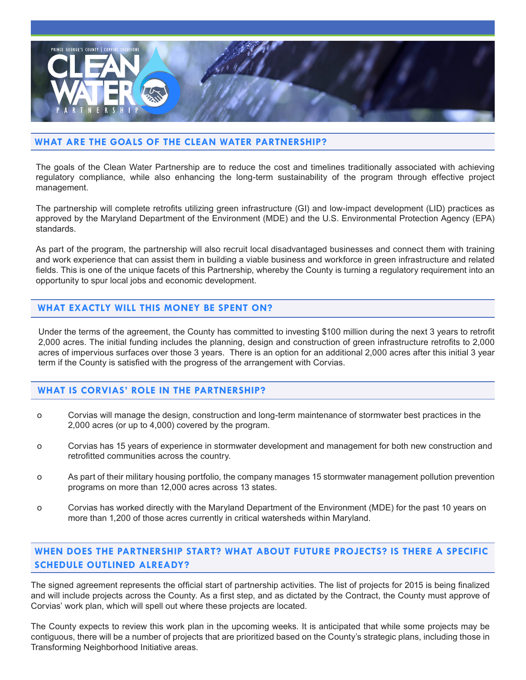

### **WHAT ARE THE GOALS OF THE CLEAN WATER PARTNERSHIP?**

The goals of the Clean Water Partnership are to reduce the cost and timelines traditionally associated with achieving regulatory compliance, while also enhancing the long-term sustainability of the program through effective project management.

The partnership will complete retrofits utilizing green infrastructure (GI) and low-impact development (LID) practices as approved by the Maryland Department of the Environment (MDE) and the U.S. Environmental Protection Agency (EPA) standards.

As part of the program, the partnership will also recruit local disadvantaged businesses and connect them with training and work experience that can assist them in building a viable business and workforce in green infrastructure and related fields. This is one of the unique facets of this Partnership, whereby the County is turning a regulatory requirement into an opportunity to spur local jobs and economic development.

### **WHAT EXACTLY WILL THIS MONEY BE SPENT ON?**

Under the terms of the agreement, the County has committed to investing \$100 million during the next 3 years to retrofit 2,000 acres. The initial funding includes the planning, design and construction of green infrastructure retrofits to 2,000 acres of impervious surfaces over those 3 years. There is an option for an additional 2,000 acres after this initial 3 year term if the County is satisfied with the progress of the arrangement with Corvias.

### **WHAT IS CORVIAS' ROLE IN THE PARTNERSHIP?**

- o Corvias will manage the design, construction and long-term maintenance of stormwater best practices in the 2,000 acres (or up to 4,000) covered by the program.
- o Corvias has 15 years of experience in stormwater development and management for both new construction and retrofitted communities across the country.
- o As part of their military housing portfolio, the company manages 15 stormwater management pollution prevention programs on more than 12,000 acres across 13 states.
- o Corvias has worked directly with the Maryland Department of the Environment (MDE) for the past 10 years on more than 1,200 of those acres currently in critical watersheds within Maryland.

# **WHEN DOES THE PARTNERSHIP START? WHAT ABOUT FUTURE PROJECTS? IS THERE A SPECIFIC SCHEDULE OUTLINED ALREADY?**

The signed agreement represents the official start of partnership activities. The list of projects for 2015 is being finalized and will include projects across the County. As a first step, and as dictated by the Contract, the County must approve of Corvias' work plan, which will spell out where these projects are located.

The County expects to review this work plan in the upcoming weeks. It is anticipated that while some projects may be contiguous, there will be a number of projects that are prioritized based on the County's strategic plans, including those in Transforming Neighborhood Initiative areas.